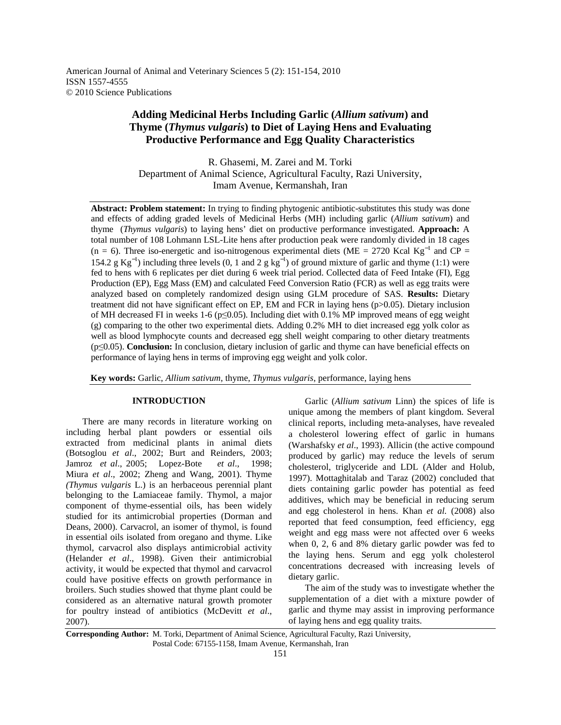American Journal of Animal and Veterinary Sciences 5 (2): 151-154, 2010 ISSN 1557-4555 © 2010 Science Publications

# **Adding Medicinal Herbs Including Garlic (***Allium sativum***) and Thyme (***Thymus vulgaris***) to Diet of Laying Hens and Evaluating Productive Performance and Egg Quality Characteristics**

R. Ghasemi, M. Zarei and M. Torki Department of Animal Science, Agricultural Faculty, Razi University, Imam Avenue, Kermanshah, Iran

**Abstract: Problem statement:** In trying to finding phytogenic antibiotic-substitutes this study was done and effects of adding graded levels of Medicinal Herbs (MH) including garlic (*Allium sativum*) and thyme (*Thymus vulgaris*) to laying hens' diet on productive performance investigated. **Approach:** A total number of 108 Lohmann LSL-Lite hens after production peak were randomly divided in 18 cages (n = 6). Three iso-energetic and iso-nitrogenous experimental diets (ME = 2720 Kcal Kg<sup>-1</sup> and CP = 154.2 g  $\text{Kg}^{-1}$ ) including three levels (0, 1 and 2 g  $\text{kg}^{-1}$ ) of ground mixture of garlic and thyme (1:1) were fed to hens with 6 replicates per diet during 6 week trial period. Collected data of Feed Intake (FI), Egg Production (EP), Egg Mass (EM) and calculated Feed Conversion Ratio (FCR) as well as egg traits were analyzed based on completely randomized design using GLM procedure of SAS. **Results:** Dietary treatment did not have significant effect on EP, EM and FCR in laying hens (p>0.05). Dietary inclusion of MH decreased FI in weeks 1-6 (p≤0.05). Including diet with 0.1% MP improved means of egg weight (g) comparing to the other two experimental diets. Adding 0.2% MH to diet increased egg yolk color as well as blood lymphocyte counts and decreased egg shell weight comparing to other dietary treatments (p≤0.05). **Conclusion:** In conclusion, dietary inclusion of garlic and thyme can have beneficial effects on performance of laying hens in terms of improving egg weight and yolk color.

**Key words:** Garlic, *Allium sativum*, thyme, *Thymus vulgaris*, performance, laying hens

### **INTRODUCTION**

 There are many records in literature working on including herbal plant powders or essential oils extracted from medicinal plants in animal diets (Botsoglou *et al*., 2002; Burt and Reinders, 2003; Jamroz *et al*., 2005; Lopez-Bote *et al*., 1998; Miura *et al*., 2002; Zheng and Wang, 2001). Thyme *(Thymus vulgaris* L.) is an herbaceous perennial plant belonging to the Lamiaceae family. Thymol, a major component of thyme-essential oils, has been widely studied for its antimicrobial properties (Dorman and Deans, 2000). Carvacrol, an isomer of thymol, is found in essential oils isolated from oregano and thyme. Like thymol, carvacrol also displays antimicrobial activity (Helander *et al*., 1998). Given their antimicrobial activity, it would be expected that thymol and carvacrol could have positive effects on growth performance in broilers. Such studies showed that thyme plant could be considered as an alternative natural growth promoter for poultry instead of antibiotics (McDevitt *et al*., 2007).

 Garlic (*Allium sativum* Linn) the spices of life is unique among the members of plant kingdom. Several clinical reports, including meta-analyses, have revealed a cholesterol lowering effect of garlic in humans (Warshafsky *et al*., 1993). Allicin (the active compound produced by garlic) may reduce the levels of serum cholesterol, triglyceride and LDL (Alder and Holub, 1997). Mottaghitalab and Taraz (2002) concluded that diets containing garlic powder has potential as feed additives, which may be beneficial in reducing serum and egg cholesterol in hens. Khan *et al.* (2008) also reported that feed consumption, feed efficiency, egg weight and egg mass were not affected over 6 weeks when 0, 2, 6 and 8% dietary garlic powder was fed to the laying hens. Serum and egg yolk cholesterol concentrations decreased with increasing levels of dietary garlic.

 The aim of the study was to investigate whether the supplementation of a diet with a mixture powder of garlic and thyme may assist in improving performance of laying hens and egg quality traits.

**Corresponding Author:** M. Torki, Department of Animal Science, Agricultural Faculty, Razi University, Postal Code: 67155-1158, Imam Avenue, Kermanshah, Iran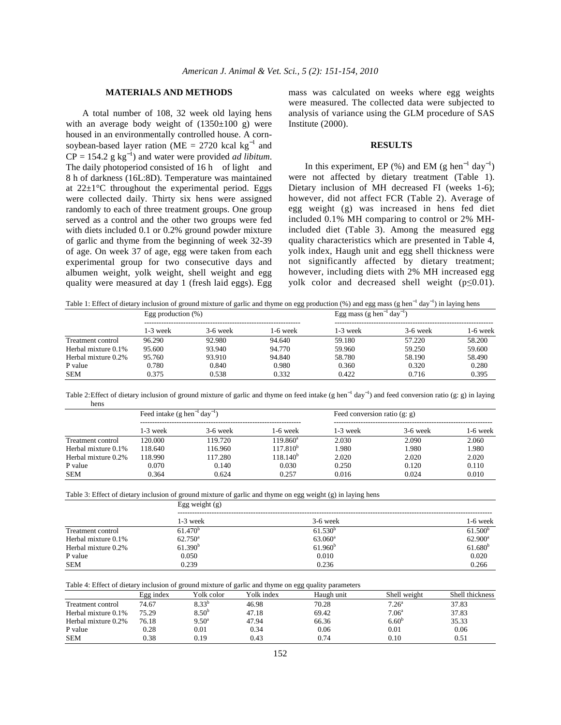## **MATERIALS AND METHODS**

 A total number of 108, 32 week old laying hens with an average body weight of  $(1350\pm100)$  g) were housed in an environmentally controlled house. A cornsoybean-based layer ration (ME = 2720 kcal  $kg^{-1}$  and  $CP = 154.2$  g kg<sup>-1</sup>) and water were provided *ad libitum*. The daily photoperiod consisted of 16 h of light and 8 h of darkness (16L:8D). Temperature was maintained at  $22\pm1$ °C throughout the experimental period. Eggs were collected daily. Thirty six hens were assigned randomly to each of three treatment groups. One group served as a control and the other two groups were fed with diets included 0.1 or 0.2% ground powder mixture of garlic and thyme from the beginning of week 32-39 of age. On week 37 of age, egg were taken from each experimental group for two consecutive days and albumen weight, yolk weight, shell weight and egg quality were measured at day 1 (fresh laid eggs). Egg

mass was calculated on weeks where egg weights were measured. The collected data were subjected to analysis of variance using the GLM procedure of SAS Institute (2000).

#### **RESULTS**

In this experiment, EP  $(\%)$  and EM (g hen<sup>-1</sup> day<sup>-1</sup>) were not affected by dietary treatment (Table 1). Dietary inclusion of MH decreased FI (weeks 1-6); however, did not affect FCR (Table 2). Average of egg weight (g) was increased in hens fed diet included 0.1% MH comparing to control or 2% MHincluded diet (Table 3). Among the measured egg quality characteristics which are presented in Table 4, yolk index, Haugh unit and egg shell thickness were not significantly affected by dietary treatment; however, including diets with 2% MH increased egg yolk color and decreased shell weight (p≤0.01).

Table 1: Effect of dietary inclusion of ground mixture of garlic and thyme on egg production (%) and egg mass (g hen<sup>-1</sup> day<sup>-1</sup>) in laying hens Egg production  $(\%)$  Egg mass (g hen<sup>-1</sup>  $\Gamma$ ga masa (a ban<sup>-1</sup> day<sup>−1</sup>) )

|                     | $Egg$ production (70) |            |          | $E_{\rm xx}$ mass (g neit day) |            |          |
|---------------------|-----------------------|------------|----------|--------------------------------|------------|----------|
|                     | 1-3 week              | $3-6$ week | 1-6 week | 1-3 week                       | $3-6$ week | 1-6 week |
| Treatment control   | 96.290                | 92.980     | 94.640   | 59.180                         | 57.220     | 58.200   |
| Herbal mixture 0.1% | 95.600                | 93.940     | 94.770   | 59.960                         | 59.250     | 59.600   |
| Herbal mixture 0.2% | 95.760                | 93.910     | 94.840   | 58.780                         | 58.190     | 58.490   |
| P value             | 0.780                 | 0.840      | 0.980    | 0.360                          | 0.320      | 0.280    |
| <b>SEM</b>          | 0.375                 | 0.538      | 0.332    | 0.422                          | 0.716      | 0.395    |

Table 2: Effect of dietary inclusion of ground mixture of garlic and thyme on feed intake (g hen<sup>-1</sup> day<sup>-1</sup>) and feed conversion ratio (g: g) in laying hens

|                     | Feed intake $(g \text{ hen}^{-1} \text{day}^{-1})$ |            |               | Feed conversion ratio $(g; g)$ |            |          |
|---------------------|----------------------------------------------------|------------|---------------|--------------------------------|------------|----------|
|                     | $1-3$ week                                         | $3-6$ week | 1-6 week      | 1-3 week                       | $3-6$ week | 1-6 week |
| Treatment control   | 120.000                                            | 119.720    | $119.860^a$   | 2.030                          | 2.090      | 2.060    |
| Herbal mixture 0.1% | 118.640                                            | 116.960    | $117.810^{b}$ | 1.980                          | 1.980      | 1.980    |
| Herbal mixture 0.2% | 118.990                                            | 117.280    | $118.140^b$   | 2.020                          | 2.020      | 2.020    |
| P value             | 0.070                                              | 0.140      | 0.030         | 0.250                          | 0.120      | 0.110    |
| <b>SEM</b>          | 0.364                                              | 0.624      | 0.257         | 0.016                          | 0.024      | 0.010    |

Table 3: Effect of dietary inclusion of ground mixture of garlic and thyme on egg weight (g) in laying hens

|                     | Egg weight $(g)$    |                     |                     |  |  |
|---------------------|---------------------|---------------------|---------------------|--|--|
|                     | $1-3$ week          | $3-6$ week          | $1-6$ week          |  |  |
| Treatment control   | $61.470^b$          | $61.530^{b}$        | 61.500 <sup>b</sup> |  |  |
| Herbal mixture 0.1% | $62.750^{\rm a}$    | $63.060^{\rm a}$    | $62.900^{\rm a}$    |  |  |
| Herbal mixture 0.2% | 61.390 <sup>b</sup> | 61.960 <sup>b</sup> | $61.680^{b}$        |  |  |
| P value             | 0.050               | 0.010               | 0.020               |  |  |
| <b>SEM</b>          | 0.239               | 0.236               | 0.266               |  |  |

Table 4: Effect of dietary inclusion of ground mixture of garlic and thyme on egg quality parameters

|                     | Egg index | Yolk color-    | Yolk index | Haugh unit | Shell weight      | Shell thickness |
|---------------------|-----------|----------------|------------|------------|-------------------|-----------------|
| Treatment control   | 74.67     | $8.33^{b}$     | 46.98      | 70.28      | 7.26 <sup>a</sup> | 37.83           |
| Herbal mixture 0.1% | 75.29     | $8.50^{b}$     | 47.18      | 69.42      | 7.06 <sup>a</sup> | 37.83           |
| Herbal mixture 0.2% | 76.18     | $9.50^{\circ}$ | 47.94      | 66.36      | 6.60 <sup>b</sup> | 35.33           |
| P value             | 0.28      | 0.01           | 0.34       | 0.06       | 0.01              | 0.06            |
| <b>SEM</b>          | 0.38      | 0.19           | 0.43       | 0.74       | 0.10              | 0.51            |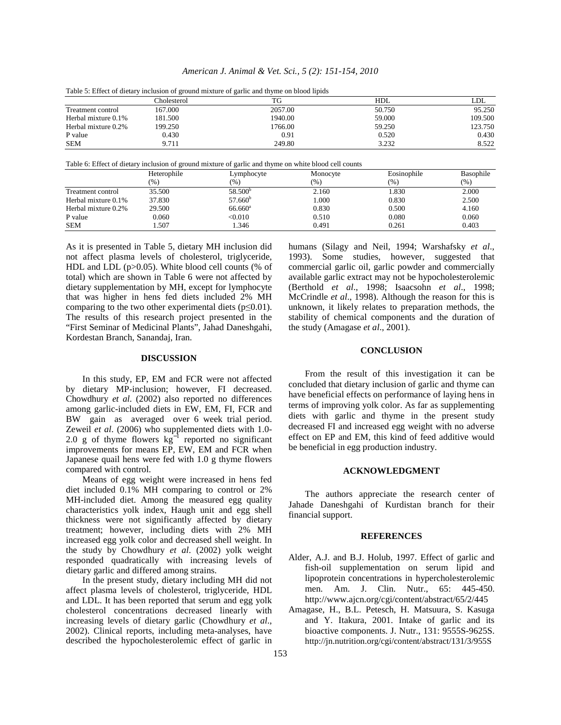| Table 5: Effect of dietary inclusion of ground mixture of garlic and thyme on blood lipids |             |         |            |         |  |  |
|--------------------------------------------------------------------------------------------|-------------|---------|------------|---------|--|--|
|                                                                                            | Cholesterol | TG      | <b>HDL</b> | LDL     |  |  |
| Treatment control                                                                          | 167.000     | 2057.00 | 50.750     | 95.250  |  |  |
| Herbal mixture 0.1%                                                                        | 181.500     | 1940.00 | 59,000     | 109.500 |  |  |
| Herbal mixture 0.2%                                                                        | 199.250     | 1766.00 | 59.250     | 123.750 |  |  |
| P value                                                                                    | 0.430       | 0.91    | 0.520      | 0.430   |  |  |
| <b>SEM</b>                                                                                 | 9.711       | 249.80  | 3.232      | 8.522   |  |  |

*American J. Animal & Vet. Sci., 5 (2): 151-154, 2010* 

Table 6: Effect of dietary inclusion of ground mixture of garlic and thyme on white blood cell counts

|                     | Heterophile | Lymphocyte          | Monocyte | Eosinophile | Basophile |
|---------------------|-------------|---------------------|----------|-------------|-----------|
|                     | (%)         | (%)                 | (%)      | (96)        | (% )      |
| Treatment control   | 35.500      | 58.500 <sup>b</sup> | 2.160    | 1.830       | 2.000     |
| Herbal mixture 0.1% | 37.830      | $57.660^b$          | 1.000    | 0.830       | 2.500     |
| Herbal mixture 0.2% | 29.500      | $66.660^{\circ}$    | 0.830    | 0.500       | 4.160     |
| P value             | 0.060       | < 0.010             | 0.510    | 0.080       | 0.060     |
| <b>SEM</b>          | .507        | 1.346               | 0.491    | 0.261       | 0.403     |

As it is presented in Table 5, dietary MH inclusion did not affect plasma levels of cholesterol, triglyceride, HDL and LDL (p>0.05). White blood cell counts (% of total) which are shown in Table 6 were not affected by dietary supplementation by MH, except for lymphocyte that was higher in hens fed diets included 2% MH comparing to the two other experimental diets ( $p \leq 0.01$ ). The results of this research project presented in the "First Seminar of Medicinal Plants", Jahad Daneshgahi, Kordestan Branch, Sanandaj, Iran.

## **DISCUSSION**

 In this study, EP, EM and FCR were not affected by dietary MP-inclusion; however, FI decreased. Chowdhury *et al*. (2002) also reported no differences among garlic-included diets in EW, EM, FI, FCR and BW gain as averaged over 6 week trial period. Zeweil *et al*. (2006) who supplemented diets with 1.0- 2.0 g of thyme flowers  $kg^{-1}$  reported no significant improvements for means EP, EW, EM and FCR when Japanese quail hens were fed with 1.0 g thyme flowers compared with control.

 Means of egg weight were increased in hens fed diet included 0.1% MH comparing to control or 2% MH-included diet. Among the measured egg quality characteristics yolk index, Haugh unit and egg shell thickness were not significantly affected by dietary treatment; however, including diets with 2% MH increased egg yolk color and decreased shell weight. In the study by Chowdhury *et al*. (2002) yolk weight responded quadratically with increasing levels of dietary garlic and differed among strains.

 In the present study, dietary including MH did not affect plasma levels of cholesterol, triglyceride, HDL and LDL. It has been reported that serum and egg yolk cholesterol concentrations decreased linearly with increasing levels of dietary garlic (Chowdhury *et al*., 2002). Clinical reports, including meta-analyses, have described the hypocholesterolemic effect of garlic in

humans (Silagy and Neil, 1994; Warshafsky *et al*., 1993). Some studies, however, suggested that commercial garlic oil, garlic powder and commercially available garlic extract may not be hypocholesterolemic (Berthold *et al*., 1998; Isaacsohn *et al*., 1998; McCrindle *et al*., 1998). Although the reason for this is unknown, it likely relates to preparation methods, the stability of chemical components and the duration of the study (Amagase *et al*., 2001).

### **CONCLUSION**

 From the result of this investigation it can be concluded that dietary inclusion of garlic and thyme can have beneficial effects on performance of laying hens in terms of improving yolk color. As far as supplementing diets with garlic and thyme in the present study decreased FI and increased egg weight with no adverse effect on EP and EM, this kind of feed additive would be beneficial in egg production industry.

#### **ACKNOWLEDGMENT**

 The authors appreciate the research center of Jahade Daneshgahi of Kurdistan branch for their financial support.

### **REFERENCES**

- Alder, A.J. and B.J. Holub, 1997. Effect of garlic and fish-oil supplementation on serum lipid and lipoprotein concentrations in hypercholesterolemic men. Am. J. Clin. Nutr., 65: 445-450. http://www.ajcn.org/cgi/content/abstract/65/2/445
- Amagase, H., B.L. Petesch, H. Matsuura, S. Kasuga and Y. Itakura, 2001. Intake of garlic and its bioactive components. J. Nutr., 131: 9555S-9625S. http://jn.nutrition.org/cgi/content/abstract/131/3/955S